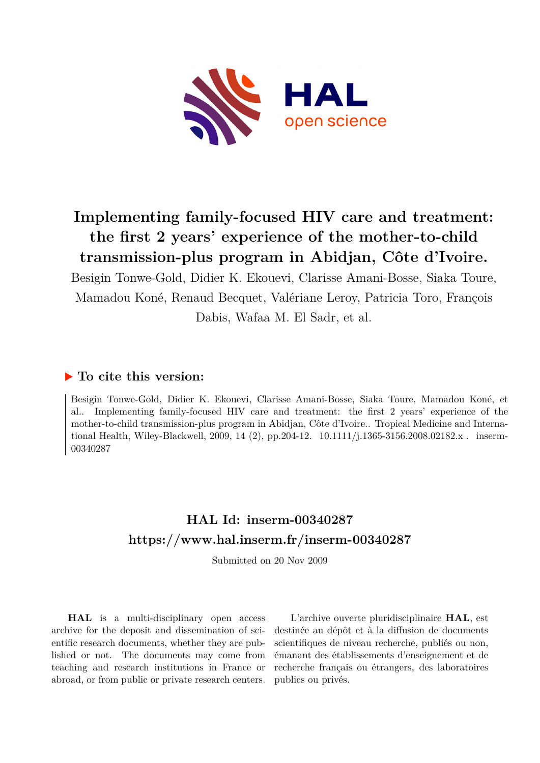

# **Implementing family-focused HIV care and treatment: the first 2 years' experience of the mother-to-child transmission-plus program in Abidjan, Côte d'Ivoire.**

Besigin Tonwe-Gold, Didier K. Ekouevi, Clarisse Amani-Bosse, Siaka Toure, Mamadou Koné, Renaud Becquet, Valériane Leroy, Patricia Toro, François Dabis, Wafaa M. El Sadr, et al.

## **To cite this version:**

Besigin Tonwe-Gold, Didier K. Ekouevi, Clarisse Amani-Bosse, Siaka Toure, Mamadou Koné, et al.. Implementing family-focused HIV care and treatment: the first 2 years' experience of the mother-to-child transmission-plus program in Abidjan, Côte d'Ivoire.. Tropical Medicine and International Health, Wiley-Blackwell, 2009, 14 (2), pp.204-12.  $10.1111/j.1365-3156.2008.02182.x$ . inserm-00340287

## **HAL Id: inserm-00340287 <https://www.hal.inserm.fr/inserm-00340287>**

Submitted on 20 Nov 2009

**HAL** is a multi-disciplinary open access archive for the deposit and dissemination of scientific research documents, whether they are published or not. The documents may come from teaching and research institutions in France or abroad, or from public or private research centers.

L'archive ouverte pluridisciplinaire **HAL**, est destinée au dépôt et à la diffusion de documents scientifiques de niveau recherche, publiés ou non, émanant des établissements d'enseignement et de recherche français ou étrangers, des laboratoires publics ou privés.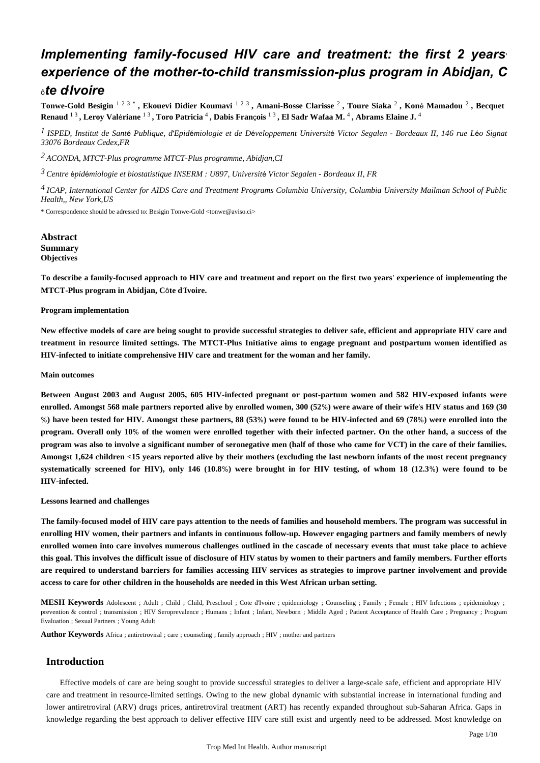## *Implementing family-focused HIV care and treatment: the first 2 years*' *experience of the mother-to-child transmission-plus program in Abidjan, C* <sup>ô</sup>*te d*'*Ivoire*

Tonwe-Gold Besigin <sup>123\*</sup>, Ekouevi Didier Koumavi <sup>123</sup>, Amani-Bosse Clarisse<sup>2</sup>, Toure Siaka<sup>2</sup>, Koné Mamadou <sup>2</sup>, Becquet Renaud  $^{13}$ , Leroy Valériane  $^{13}$ , Toro Patricia <sup>4</sup>, Dabis François  $^{13}$ , El Sadr Wafaa M. <sup>4</sup>, Abrams Elaine J. <sup>4</sup>

<sup>*I*</sup> ISPED, Institut de Santé Publique, d'Epidémiologie et de Développement Université Victor Segalen - Bordeaux II, 146 rue Léo Signat *33076 Bordeaux Cedex,FR*

*ACONDA, MTCT-Plus programme 2 MTCT-Plus programme, Abidjan,CI*

*Centre pid miologie et biostatistique 3* <sup>é</sup> <sup>é</sup> *INSERM : U897, Universit*é *Victor Segalen - Bordeaux II, FR*

<sup>4</sup> ICAP, International Center for AIDS Care and Treatment Programs Columbia University, Columbia University Mailman School of Public *Health,, New York,US*

\* Correspondence should be adressed to: Besigin Tonwe-Gold <tonwe@aviso.ci>

## **Abstract Summary Objectives**

**To describe a family-focused approach to HIV care and treatment and report on the first two years**' **experience of implementing the MTCT-Plus program in Abidjan, C**ô**te d**'**Ivoire.**

## **Program implementation**

**New effective models of care are being sought to provide successful strategies to deliver safe, efficient and appropriate HIV care and treatment in resource limited settings. The MTCT-Plus Initiative aims to engage pregnant and postpartum women identified as HIV-infected to initiate comprehensive HIV care and treatment for the woman and her family.**

## **Main outcomes**

**Between August 2003 and August 2005, 605 HIV-infected pregnant or post-partum women and 582 HIV-exposed infants were enrolled. Amongst 568 male partners reported alive by enrolled women, 300 (52**%**) were aware of their wife**'**s HIV status and 169 (30** %**) have been tested for HIV. Amongst these partners, 88 (53**%**) were found to be HIV-infected and 69 (78**%**) were enrolled into the program. Overall only 10**% **of the women were enrolled together with their infected partner. On the other hand, a success of the program was also to involve a significant number of seronegative men (half of those who came for VCT) in the care of their families. Amongst 1,624 children <15 years reported alive by their mothers (excluding the last newborn infants of the most recent pregnancy systematically screened for HIV), only 146 (10.8**%**) were brought in for HIV testing, of whom 18 (12.3**%**) were found to be HIV-infected.**

## **Lessons learned and challenges**

**The family-focused model of HIV care pays attention to the needs of families and household members. The program was successful in enrolling HIV women, their partners and infants in continuous follow-up. However engaging partners and family members of newly enrolled women into care involves numerous challenges outlined in the cascade of necessary events that must take place to achieve this goal. This involves the difficult issue of disclosure of HIV status by women to their partners and family members. Further efforts are required to understand barriers for families accessing HIV services as strategies to improve partner involvement and provide access to care for other children in the households are needed in this West African urban setting.**

**MESH Keywords** Adolescent ; Adult ; Child ; Child, Preschool ; Cote d'Ivoire ; epidemiology ; Counseling ; Family ; Female ; HIV Infections ; epidemiology ; prevention & control ; transmission ; HIV Seroprevalence ; Humans ; Infant, Newborn ; Middle Aged ; Patient Acceptance of Health Care ; Pregnancy ; Program Evaluation ; Sexual Partners ; Young Adult

**Author Keywords** Africa ; antiretroviral ; care ; counseling ; family approach ; HIV ; mother and partners

## **Introduction**

Effective models of care are being sought to provide successful strategies to deliver a large-scale safe, efficient and appropriate HIV care and treatment in resource-limited settings. Owing to the new global dynamic with substantial increase in international funding and lower antiretroviral (ARV) drugs prices, antiretroviral treatment (ART) has recently expanded throughout sub-Saharan Africa. Gaps in knowledge regarding the best approach to deliver effective HIV care still exist and urgently need to be addressed. Most knowledge on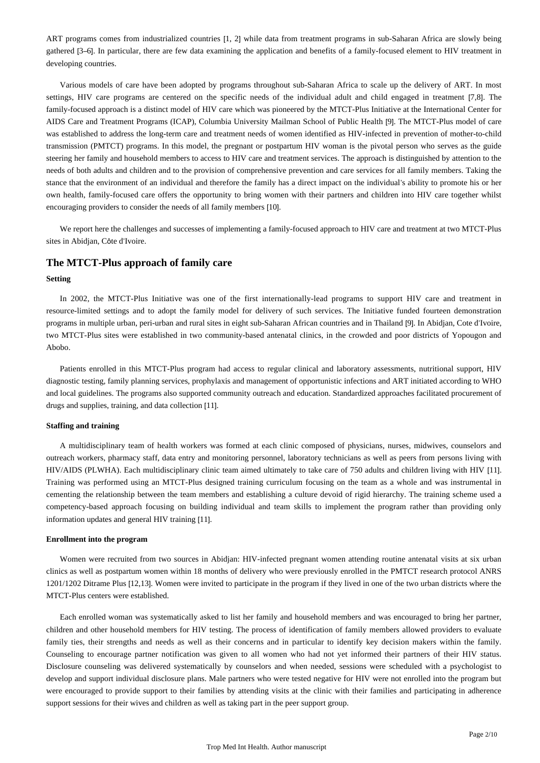ART programs comes from industrialized countries [1, 2] while data from treatment programs in sub-Saharan Africa are slowly being gathered [3–6]. In particular, there are few data examining the application and benefits of a family-focused element to HIV treatment in developing countries.

Various models of care have been adopted by programs throughout sub-Saharan Africa to scale up the delivery of ART. In most settings, HIV care programs are centered on the specific needs of the individual adult and child engaged in treatment [7,8]. The family-focused approach is a distinct model of HIV care which was pioneered by the MTCT-Plus Initiative at the International Center for AIDS Care and Treatment Programs (ICAP), Columbia University Mailman School of Public Health [9]. The MTCT-Plus model of care was established to address the long-term care and treatment needs of women identified as HIV-infected in prevention of mother-to-child transmission (PMTCT) programs. In this model, the pregnant or postpartum HIV woman is the pivotal person who serves as the guide steering her family and household members to access to HIV care and treatment services. The approach is distinguished by attention to the needs of both adults and children and to the provision of comprehensive prevention and care services for all family members. Taking the stance that the environment of an individual and therefore the family has a direct impact on the individual's ability to promote his or her own health, family-focused care offers the opportunity to bring women with their partners and children into HIV care together whilst encouraging providers to consider the needs of all family members [10].

We report here the challenges and successes of implementing a family-focused approach to HIV care and treatment at two MTCT-Plus sites in Abidjan, Côte d'Ivoire.

## **The MTCT-Plus approach of family care**

#### **Setting**

In 2002, the MTCT-Plus Initiative was one of the first internationally-lead programs to support HIV care and treatment in resource-limited settings and to adopt the family model for delivery of such services. The Initiative funded fourteen demonstration programs in multiple urban, peri-urban and rural sites in eight sub-Saharan African countries and in Thailand [9]. In Abidjan, Cote d'Ivoire, two MTCT-Plus sites were established in two community-based antenatal clinics, in the crowded and poor districts of Yopougon and Abobo.

Patients enrolled in this MTCT-Plus program had access to regular clinical and laboratory assessments, nutritional support, HIV diagnostic testing, family planning services, prophylaxis and management of opportunistic infections and ART initiated according to WHO and local guidelines. The programs also supported community outreach and education. Standardized approaches facilitated procurement of drugs and supplies, training, and data collection [11].

#### **Staffing and training**

A multidisciplinary team of health workers was formed at each clinic composed of physicians, nurses, midwives, counselors and outreach workers, pharmacy staff, data entry and monitoring personnel, laboratory technicians as well as peers from persons living with HIV/AIDS (PLWHA). Each multidisciplinary clinic team aimed ultimately to take care of 750 adults and children living with HIV [11]. Training was performed using an MTCT-Plus designed training curriculum focusing on the team as a whole and was instrumental in cementing the relationship between the team members and establishing a culture devoid of rigid hierarchy. The training scheme used a competency-based approach focusing on building individual and team skills to implement the program rather than providing only information updates and general HIV training [11].

## **Enrollment into the program**

Women were recruited from two sources in Abidjan: HIV-infected pregnant women attending routine antenatal visits at six urban clinics as well as postpartum women within 18 months of delivery who were previously enrolled in the PMTCT research protocol ANRS 1201/1202 Ditrame Plus [12,13]. Women were invited to participate in the program if they lived in one of the two urban districts where the MTCT-Plus centers were established.

Each enrolled woman was systematically asked to list her family and household members and was encouraged to bring her partner, children and other household members for HIV testing. The process of identification of family members allowed providers to evaluate family ties, their strengths and needs as well as their concerns and in particular to identify key decision makers within the family. Counseling to encourage partner notification was given to all women who had not yet informed their partners of their HIV status. Disclosure counseling was delivered systematically by counselors and when needed, sessions were scheduled with a psychologist to develop and support individual disclosure plans. Male partners who were tested negative for HIV were not enrolled into the program but were encouraged to provide support to their families by attending visits at the clinic with their families and participating in adherence support sessions for their wives and children as well as taking part in the peer support group.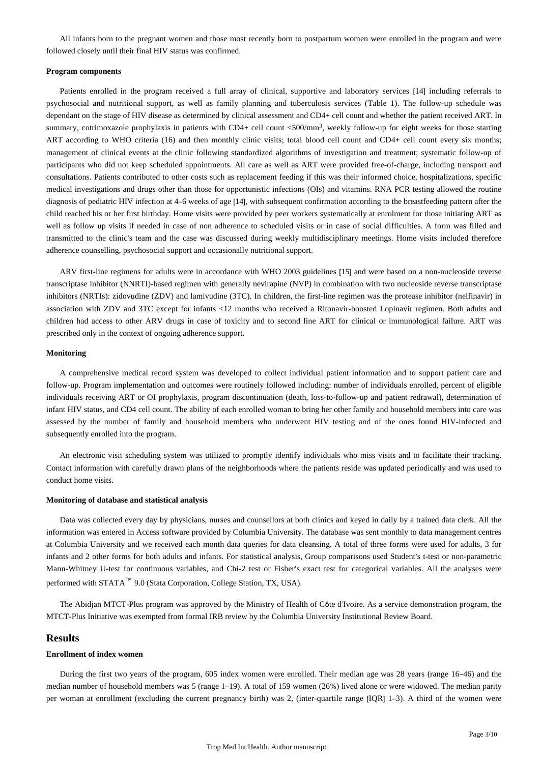All infants born to the pregnant women and those most recently born to postpartum women were enrolled in the program and were followed closely until their final HIV status was confirmed.

#### **Program components**

Patients enrolled in the program received a full array of clinical, supportive and laboratory services [14] including referrals to psychosocial and nutritional support, as well as family planning and tuberculosis services (Table 1). The follow-up schedule was dependant on the stage of HIV disease as determined by clinical assessment and CD4+ cell count and whether the patient received ART. In summary, cotrimoxazole prophylaxis in patients with CD4+ cell count <500/mm<sup>3</sup>, weekly follow-up for eight weeks for those starting ART according to WHO criteria (16) and then monthly clinic visits; total blood cell count and CD4+ cell count every six months; management of clinical events at the clinic following standardized algorithms of investigation and treatment; systematic follow-up of participants who did not keep scheduled appointments. All care as well as ART were provided free-of-charge, including transport and consultations. Patients contributed to other costs such as replacement feeding if this was their informed choice, hospitalizations, specific medical investigations and drugs other than those for opportunistic infections (OIs) and vitamins. RNA PCR testing allowed the routine diagnosis of pediatric HIV infection at 4–6 weeks of age [14], with subsequent confirmation according to the breastfeeding pattern after the child reached his or her first birthday. Home visits were provided by peer workers systematically at enrolment for those initiating ART as well as follow up visits if needed in case of non adherence to scheduled visits or in case of social difficulties. A form was filled and transmitted to the clinic's team and the case was discussed during weekly multidisciplinary meetings. Home visits included therefore adherence counselling, psychosocial support and occasionally nutritional support.

ARV first-line regimens for adults were in accordance with WHO 2003 guidelines [15] and were based on a non-nucleoside reverse transcriptase inhibitor (NNRTI)-based regimen with generally nevirapine (NVP) in combination with two nucleoside reverse transcriptase inhibitors (NRTIs): zidovudine (ZDV) and lamivudine (3TC). In children, the first-line regimen was the protease inhibitor (nelfinavir) in association with ZDV and 3TC except for infants <12 months who received a Ritonavir-boosted Lopinavir regimen. Both adults and children had access to other ARV drugs in case of toxicity and to second line ART for clinical or immunological failure. ART was prescribed only in the context of ongoing adherence support.

## **Monitoring**

A comprehensive medical record system was developed to collect individual patient information and to support patient care and follow-up. Program implementation and outcomes were routinely followed including: number of individuals enrolled, percent of eligible individuals receiving ART or OI prophylaxis, program discontinuation (death, loss-to-follow-up and patient redrawal), determination of infant HIV status, and CD4 cell count. The ability of each enrolled woman to bring her other family and household members into care was assessed by the number of family and household members who underwent HIV testing and of the ones found HIV-infected and subsequently enrolled into the program.

An electronic visit scheduling system was utilized to promptly identify individuals who miss visits and to facilitate their tracking. Contact information with carefully drawn plans of the neighborhoods where the patients reside was updated periodically and was used to conduct home visits.

#### **Monitoring of database and statistical analysis**

Data was collected every day by physicians, nurses and counsellors at both clinics and keyed in daily by a trained data clerk. All the information was entered in Access software provided by Columbia University. The database was sent monthly to data management centres at Columbia University and we received each month data queries for data cleansing. A total of three forms were used for adults, 3 for infants and 2 other forms for both adults and infants. For statistical analysis, Group comparisons used Student's t-test or non-parametric Mann-Whitney U-test for continuous variables, and Chi-2 test or Fisher's exact test for categorical variables. All the analyses were performed with STATA™ 9.0 (Stata Corporation, College Station, TX, USA).

The Abidjan MTCT-Plus program was approved by the Ministry of Health of Côte d'Ivoire. As a service demonstration program, the MTCT-Plus Initiative was exempted from formal IRB review by the Columbia University Institutional Review Board.

## **Results**

## **Enrollment of index women**

During the first two years of the program, 605 index women were enrolled. Their median age was 28 years (range 16–46) and the median number of household members was 5 (range 1–19). A total of 159 women (26%) lived alone or were widowed. The median parity per woman at enrollment (excluding the current pregnancy birth) was 2, (inter-quartile range [IQR] 1–3). A third of the women were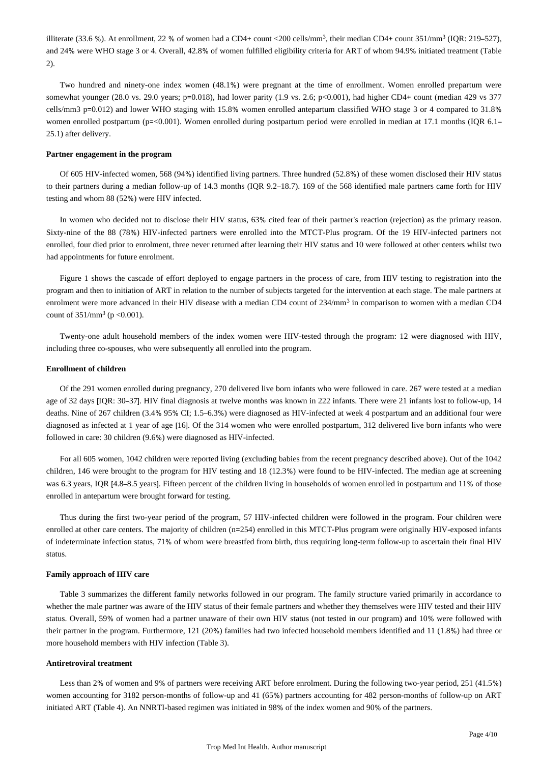illiterate (33.6 %). At enrollment, 22 % of women had a CD4+ count <200 cells/mm<sup>3</sup>, their median CD4+ count 351/mm<sup>3</sup> (IQR: 219–527), and 24% were WHO stage 3 or 4. Overall, 42.8% of women fulfilled eligibility criteria for ART of whom 94.9% initiated treatment (Table 2).

Two hundred and ninety-one index women (48.1%) were pregnant at the time of enrollment. Women enrolled prepartum were somewhat younger (28.0 vs. 29.0 years; p=0.018), had lower parity (1.9 vs. 2.6; p<0.001), had higher CD4+ count (median 429 vs 377 cells/mm3 p=0.012) and lower WHO staging with 15.8% women enrolled antepartum classified WHO stage 3 or 4 compared to 31.8% women enrolled postpartum (p=<0.001). Women enrolled during postpartum period were enrolled in median at 17.1 months (IQR 6.1– 25.1) after delivery.

#### **Partner engagement in the program**

Of 605 HIV-infected women, 568 (94%) identified living partners. Three hundred (52.8%) of these women disclosed their HIV status to their partners during a median follow-up of 14.3 months (IQR 9.2–18.7). 169 of the 568 identified male partners came forth for HIV testing and whom 88 (52%) were HIV infected.

In women who decided not to disclose their HIV status, 63% cited fear of their partner's reaction (rejection) as the primary reason. Sixty-nine of the 88 (78%) HIV-infected partners were enrolled into the MTCT-Plus program. Of the 19 HIV-infected partners not enrolled, four died prior to enrolment, three never returned after learning their HIV status and 10 were followed at other centers whilst two had appointments for future enrolment.

Figure 1 shows the cascade of effort deployed to engage partners in the process of care, from HIV testing to registration into the program and then to initiation of ART in relation to the number of subjects targeted for the intervention at each stage. The male partners at enrolment were more advanced in their HIV disease with a median CD4 count of 234/mm<sup>3</sup> in comparison to women with a median CD4 count of  $351/mm^3$  (p <0.001).

Twenty-one adult household members of the index women were HIV-tested through the program: 12 were diagnosed with HIV, including three co-spouses, who were subsequently all enrolled into the program.

#### **Enrollment of children**

Of the 291 women enrolled during pregnancy, 270 delivered live born infants who were followed in care. 267 were tested at a median age of 32 days [IQR: 30–37]. HIV final diagnosis at twelve months was known in 222 infants. There were 21 infants lost to follow-up, 14 deaths. Nine of 267 children (3.4% 95% CI; 1.5–6.3%) were diagnosed as HIV-infected at week 4 postpartum and an additional four were diagnosed as infected at 1 year of age [16]. Of the 314 women who were enrolled postpartum, 312 delivered live born infants who were followed in care: 30 children (9.6%) were diagnosed as HIV-infected.

For all 605 women, 1042 children were reported living (excluding babies from the recent pregnancy described above). Out of the 1042 children, 146 were brought to the program for HIV testing and 18 (12.3%) were found to be HIV-infected. The median age at screening was 6.3 years, IQR [4.8–8.5 years]. Fifteen percent of the children living in households of women enrolled in postpartum and 11% of those enrolled in antepartum were brought forward for testing.

Thus during the first two-year period of the program, 57 HIV-infected children were followed in the program. Four children were enrolled at other care centers. The majority of children (n=254) enrolled in this MTCT-Plus program were originally HIV-exposed infants of indeterminate infection status, 71% of whom were breastfed from birth, thus requiring long-term follow-up to ascertain their final HIV status.

#### **Family approach of HIV care**

Table 3 summarizes the different family networks followed in our program. The family structure varied primarily in accordance to whether the male partner was aware of the HIV status of their female partners and whether they themselves were HIV tested and their HIV status. Overall, 59% of women had a partner unaware of their own HIV status (not tested in our program) and 10% were followed with their partner in the program. Furthermore, 121 (20%) families had two infected household members identified and 11 (1.8%) had three or more household members with HIV infection (Table 3).

#### **Antiretroviral treatment**

Less than 2% of women and 9% of partners were receiving ART before enrolment. During the following two-year period, 251 (41.5%) women accounting for 3182 person-months of follow-up and 41 (65%) partners accounting for 482 person-months of follow-up on ART initiated ART (Table 4). An NNRTI-based regimen was initiated in 98% of the index women and 90% of the partners.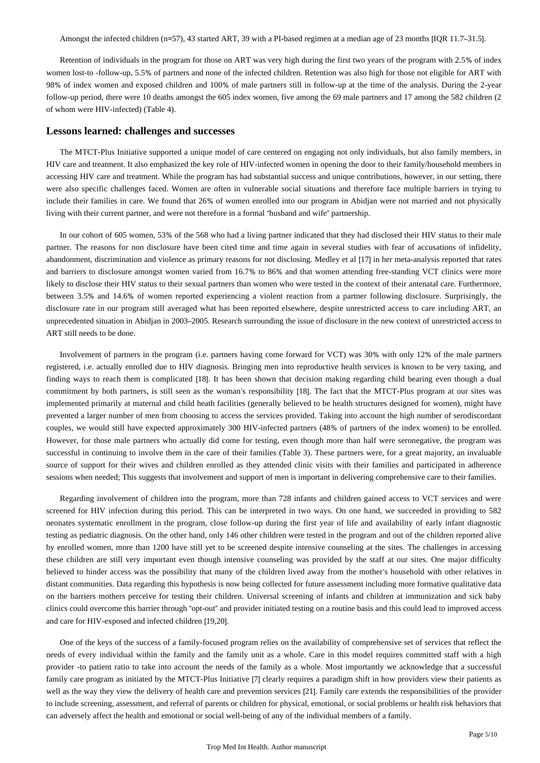Amongst the infected children (n=57), 43 started ART, 39 with a PI-based regimen at a median age of 23 months [IQR 11.7–31.5].

Retention of individuals in the program for those on ART was very high during the first two years of the program with 2.5% of index women lost-to -follow-up, 5.5% of partners and none of the infected children. Retention was also high for those not eligible for ART with 98% of index women and exposed children and 100% of male partners still in follow-up at the time of the analysis. During the 2-year follow-up period, there were 10 deaths amongst the 605 index women, five among the 69 male partners and 17 among the 582 children (2) of whom were HIV-infected) (Table 4).

#### **Lessons learned: challenges and successes**

The MTCT-Plus Initiative supported a unique model of care centered on engaging not only individuals, but also family members, in HIV care and treatment. It also emphasized the key role of HIV-infected women in opening the door to their family/household members in accessing HIV care and treatment. While the program has had substantial success and unique contributions, however, in our setting, there were also specific challenges faced. Women are often in vulnerable social situations and therefore face multiple barriers in trying to include their families in care. We found that 26% of women enrolled into our program in Abidjan were not married and not physically living with their current partner, and were not therefore in a formal "husband and wife" partnership.

In our cohort of 605 women, 53% of the 568 who had a living partner indicated that they had disclosed their HIV status to their male partner. The reasons for non disclosure have been cited time and time again in several studies with fear of accusations of infidelity, abandonment, discrimination and violence as primary reasons for not disclosing. Medley et al [17] in her meta-analysis reported that rates and barriers to disclosure amongst women varied from 16.7% to 86% and that women attending free-standing VCT clinics were more likely to disclose their HIV status to their sexual partners than women who were tested in the context of their antenatal care. Furthermore, between 3.5% and 14.6% of women reported experiencing a violent reaction from a partner following disclosure. Surprisingly, the disclosure rate in our program still averaged what has been reported elsewhere, despite unrestricted access to care including ART, an unprecedented situation in Abidjan in 2003–2005. Research surrounding the issue of disclosure in the new context of unrestricted access to ART still needs to be done.

Involvement of partners in the program (i.e. partners having come forward for VCT) was 30% with only 12% of the male partners registered, i.e. actually enrolled due to HIV diagnosis. Bringing men into reproductive health services is known to be very taxing, and finding ways to reach them is complicated [18]. It has been shown that decision making regarding child bearing even though a dual commitment by both partners, is still seen as the woman's responsibility [18]. The fact that the MTCT-Plus program at our sites was implemented primarily at maternal and child heath facilities (generally believed to be health structures designed for women), might have prevented a larger number of men from choosing to access the services provided. Taking into account the high number of serodiscordant couples, we would still have expected approximately 300 HIV-infected partners (48% of partners of the index women) to be enrolled. However, for those male partners who actually did come for testing, even though more than half were seronegative, the program was successful in continuing to involve them in the care of their families (Table 3). These partners were, for a great majority, an invaluable source of support for their wives and children enrolled as they attended clinic visits with their families and participated in adherence sessions when needed; This suggests that involvement and support of men is important in delivering comprehensive care to their families.

Regarding involvement of children into the program, more than 728 infants and children gained access to VCT services and were screened for HIV infection during this period. This can be interpreted in two ways. On one hand, we succeeded in providing to 582 neonates systematic enrollment in the program, close follow-up during the first year of life and availability of early infant diagnostic testing as pediatric diagnosis. On the other hand, only 146 other children were tested in the program and out of the children reported alive by enrolled women, more than 1200 have still yet to be screened despite intensive counseling at the sites. The challenges in accessing these children are still very important even though intensive counseling was provided by the staff at our sites. One major difficulty believed to hinder access was the possibility that many of the children lived away from the mother's household with other relatives in distant communities. Data regarding this hypothesis is now being collected for future assessment including more formative qualitative data on the barriers mothers perceive for testing their children. Universal screening of infants and children at immunization and sick baby clinics could overcome this barrier through "opt-out" and provider initiated testing on a routine basis and this could lead to improved access and care for HIV-exposed and infected children [19,20].

One of the keys of the success of a family-focused program relies on the availability of comprehensive set of services that reflect the needs of every individual within the family and the family unit as a whole. Care in this model requires committed staff with a high provider -to patient ratio to take into account the needs of the family as a whole. Most importantly we acknowledge that a successful family care program as initiated by the MTCT-Plus Initiative [7] clearly requires a paradigm shift in how providers view their patients as well as the way they view the delivery of health care and prevention services [21]. Family care extends the responsibilities of the provider to include screening, assessment, and referral of parents or children for physical, emotional, or social problems or health risk behaviors that can adversely affect the health and emotional or social well-being of any of the individual members of a family.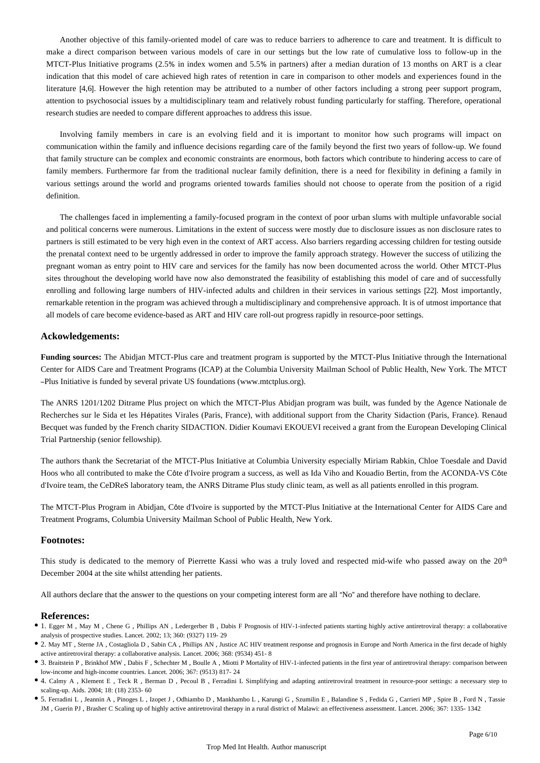Another objective of this family-oriented model of care was to reduce barriers to adherence to care and treatment. It is difficult to make a direct comparison between various models of care in our settings but the low rate of cumulative loss to follow-up in the MTCT-Plus Initiative programs (2.5% in index women and 5.5% in partners) after a median duration of 13 months on ART is a clear indication that this model of care achieved high rates of retention in care in comparison to other models and experiences found in the literature [4,6]. However the high retention may be attributed to a number of other factors including a strong peer support program, attention to psychosocial issues by a multidisciplinary team and relatively robust funding particularly for staffing. Therefore, operational research studies are needed to compare different approaches to address this issue.

Involving family members in care is an evolving field and it is important to monitor how such programs will impact on communication within the family and influence decisions regarding care of the family beyond the first two years of follow-up. We found that family structure can be complex and economic constraints are enormous, both factors which contribute to hindering access to care of family members. Furthermore far from the traditional nuclear family definition, there is a need for flexibility in defining a family in various settings around the world and programs oriented towards families should not choose to operate from the position of a rigid definition.

The challenges faced in implementing a family-focused program in the context of poor urban slums with multiple unfavorable social and political concerns were numerous. Limitations in the extent of success were mostly due to disclosure issues as non disclosure rates to partners is still estimated to be very high even in the context of ART access. Also barriers regarding accessing children for testing outside the prenatal context need to be urgently addressed in order to improve the family approach strategy. However the success of utilizing the pregnant woman as entry point to HIV care and services for the family has now been documented across the world. Other MTCT-Plus sites throughout the developing world have now also demonstrated the feasibility of establishing this model of care and of successfully enrolling and following large numbers of HIV-infected adults and children in their services in various settings [22]. Most importantly, remarkable retention in the program was achieved through a multidisciplinary and comprehensive approach. It is of utmost importance that all models of care become evidence-based as ART and HIV care roll-out progress rapidly in resource-poor settings.

## **Ackowledgements:**

**Funding sources:** The Abidjan MTCT-Plus care and treatment program is supported by the MTCT-Plus Initiative through the International Center for AIDS Care and Treatment Programs (ICAP) at the Columbia University Mailman School of Public Health, New York. The MTCT –Plus Initiative is funded by several private US foundations (www.mtctplus.org).

The ANRS 1201/1202 Ditrame Plus project on which the MTCT-Plus Abidjan program was built, was funded by the Agence Nationale de Recherches sur le Sida et les Hépatites Virales (Paris, France), with additional support from the Charity Sidaction (Paris, France). Renaud Becquet was funded by the French charity SIDACTION. Didier Koumavi EKOUEVI received a grant from the European Developing Clinical Trial Partnership (senior fellowship).

The authors thank the Secretariat of the MTCT-Plus Initiative at Columbia University especially Miriam Rabkin, Chloe Toesdale and David Hoos who all contributed to make the Côte d'Ivoire program a success, as well as Ida Viho and Kouadio Bertin, from the ACONDA-VS Côte d'Ivoire team, the CeDReS laboratory team, the ANRS Ditrame Plus study clinic team, as well as all patients enrolled in this program.

The MTCT-Plus Program in Abidjan, Côte d'Ivoire is supported by the MTCT-Plus Initiative at the International Center for AIDS Care and Treatment Programs, Columbia University Mailman School of Public Health, New York.

## **Footnotes:**

This study is dedicated to the memory of Pierrette Kassi who was a truly loved and respected mid-wife who passed away on the 20<sup>th</sup> December 2004 at the site whilst attending her patients.

All authors declare that the answer to the questions on your competing interest form are all "No" and therefore have nothing to declare.

## **References:**

- 1. Egger M , May M , Chene G , Phillips AN , Ledergerber B , Dabis F Prognosis of HIV-1-infected patients starting highly active antiretroviral therapy: a collaborative analysis of prospective studies. Lancet. 2002; 13; 360: (9327) 119- 29
- 2. May MT , Sterne JA , Costagliola D , Sabin CA , Phillips AN , Justice AC HIV treatment response and prognosis in Europe and North America in the first decade of highly active antiretroviral therapy: a collaborative analysis. Lancet. 2006; 368: (9534) 451- 8
- 3. Braitstein P , Brinkhof MW , Dabis F , Schechter M , Boulle A , Miotti P Mortality of HIV-1-infected patients in the first year of antiretroviral therapy: comparison between low-income and high-income countries. Lancet. 2006; 367: (9513) 817- 24
- 4. Calmy A , Klement E , Teck R , Berman D , Pecoul B , Ferradini L Simplifying and adapting antiretroviral treatment in resource-poor settings: a necessary step to scaling-up. Aids. 2004; 18: (18) 2353- 60
- 5. Ferradini L , Jeannin A , Pinoges L , Izopet J , Odhiambo D , Mankhambo L , Karungi G , Szumilin E , Balandine S , Fedida G , Carrieri MP , Spire B , Ford N , Tassie JM , Guerin PJ , Brasher C Scaling up of highly active antiretroviral therapy in a rural district of Malawi: an effectiveness assessment. Lancet. 2006; 367: 1335- 1342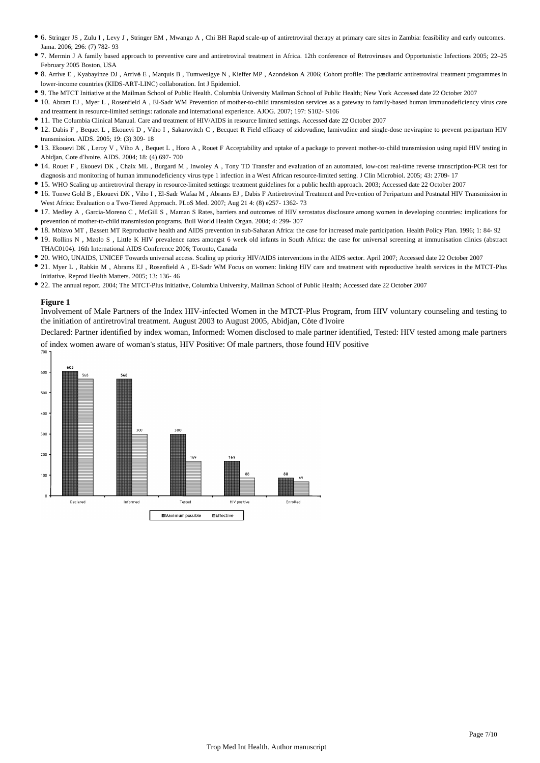- 6. Stringer JS , Zulu I , Levy J , Stringer EM , Mwango A , Chi BH Rapid scale-up of antiretroviral therapy at primary care sites in Zambia: feasibility and early outcomes. Jama. 2006; 296: (7) 782- 93
- 7. Mermin J A family based approach to preventive care and antiretroviral treatment in Africa. 12th conference of Retroviruses and Opportunistic Infections 2005; 22–25 February 2005 Boston, USA
- 8. Arrive E , Kyabayinze DJ , Arrivé E , Marquis B , Tumwesigye N , Kieffer MP , Azondekon A 2006; Cohort profile: The pædiatric antiretroviral treatment programmes in lower-income countries (KIDS-ART-LINC) collaboration. Int J Epidemiol.
- 9. The MTCT Initiative at the Mailman School of Public Health. Columbia University Mailman School of Public Health; New York Accessed date 22 October 2007
- 10. Abram EJ , Myer L , Rosenfield A , El-Sadr WM Prevention of mother-to-child transmission services as a gateway to family-based human immunodeficiency virus care and treatment in resource-limited settings: rationale and international experience. AJOG. 2007; 197: S102- S106
- 11. The Columbia Clinical Manual. Care and treatment of HIV/AIDS in resource limited settings. Accessed date 22 October 2007
- 12. Dabis F , Bequet L , Ekouevi D , Viho I , Sakarovitch C , Becquet R Field efficacy of zidovudine, lamivudine and single-dose nevirapine to prevent peripartum HIV transmission. AIDS. 2005; 19: (3) 309- 18
- 13. Ekouevi DK, Leroy V, Viho A, Bequet L, Horo A, Rouet F Acceptability and uptake of a package to prevent mother-to-child transmission using rapid HIV testing in Abidjan, Cote d'Ivoire. AIDS. 2004; 18: (4) 697- 700
- 14. Rouet F , Ekouevi DK , Chaix ML , Burgard M , Inwoley A , Tony TD Transfer and evaluation of an automated, low-cost real-time reverse transcription-PCR test for diagnosis and monitoring of human immunodeficiency virus type 1 infection in a West African resource-limited setting. J Clin Microbiol. 2005; 43: 2709- 17
- 15. WHO Scaling up antiretroviral therapy in resource-limited settings: treatment guidelines for a public health approach. 2003; Accessed date 22 October 2007
- 16. Tonwe Gold B , Ekouevi DK , Viho I , El-Sadr Wafaa M , Abrams EJ , Dabis F Antiretroviral Treatment and Prevention of Peripartum and Postnatal HIV Transmission in West Africa: Evaluation o a Two-Tiered Approach. PLoS Med. 2007; Aug 21 4: (8) e257- 1362- 73
- 17. Medley A , Garcia-Moreno C , McGill S , Maman S Rates, barriers and outcomes of HIV serostatus disclosure among women in developing countries: implications for prevention of mother-to-child transmission programs. Bull World Health Organ. 2004; 4: 299- 307
- 18. Mbizvo MT , Bassett MT Reproductive health and AIDS prevention in sub-Saharan Africa: the case for increased male participation. Health Policy Plan. 1996; 1: 84- 92
- 19. Rollins N , Mzolo S , Little K HIV prevalence rates amongst 6 week old infants in South Africa: the case for universal screening at immunisation clinics (abstract THAC0104). 16th International AIDS Conference 2006; Toronto, Canada
- 20. WHO, UNAIDS, UNICEF Towards universal access. Scaling up priority HIV/AIDS interventions in the AIDS sector. April 2007; Accessed date 22 October 2007
- 21. Myer L , Rabkin M , Abrams EJ , Rosenfield A , El-Sadr WM Focus on women: linking HIV care and treatment with reproductive health services in the MTCT-Plus Initiative. Reprod Health Matters. 2005; 13: 136- 46
- 22. The annual report. 2004; The MTCT-Plus Initiative, Columbia University, Mailman School of Public Health; Accessed date 22 October 2007

#### **Figure 1**

Involvement of Male Partners of the Index HIV-infected Women in the MTCT-Plus Program, from HIV voluntary counseling and testing to the initiation of antiretroviral treatment. August 2003 to August 2005, Abidjan, Côte d'Ivoire

Declared: Partner identified by index woman, Informed: Women disclosed to male partner identified, Tested: HIV tested among male partners of index women aware of woman's status, HIV Positive: Of male partners, those found HIV positive

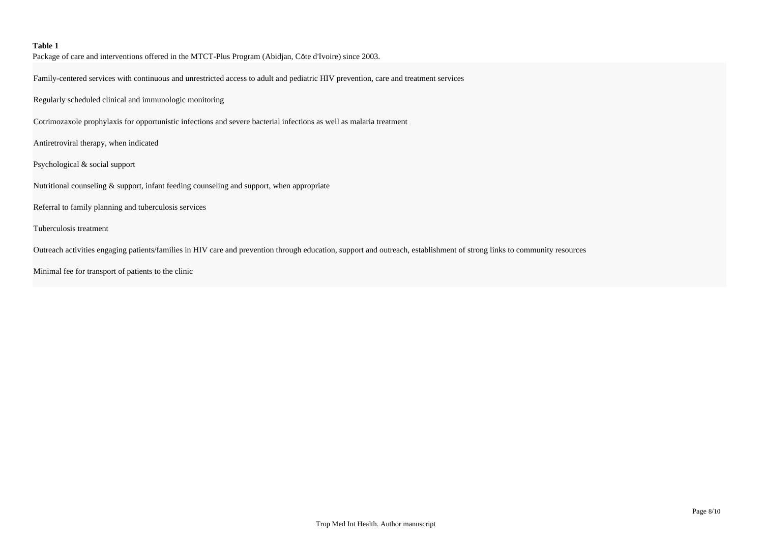## **Table 1**

Package of care and interventions offered in the MTCT-Plus Program (Abidjan, Côte d'Ivoire) since 2003.

Family-centered services with continuous and unrestricted access to adult and pediatric HIV prevention, care and treatment services

Regularly scheduled clinical and immunologic monitoring

Cotrimozaxole prophylaxis for opportunistic infections and severe bacterial infections as well as malaria treatment

Antiretroviral therapy, when indicated

Psychological & social support

Nutritional counseling & support, infant feeding counseling and support, when appropriate

Referral to family planning and tuberculosis services

Tuberculosis treatment

Outreach activities engaging patients/families in HIV care and prevention through education, support and outreach, establishment of strong links to community resources

Minimal fee for transport of patients to the clinic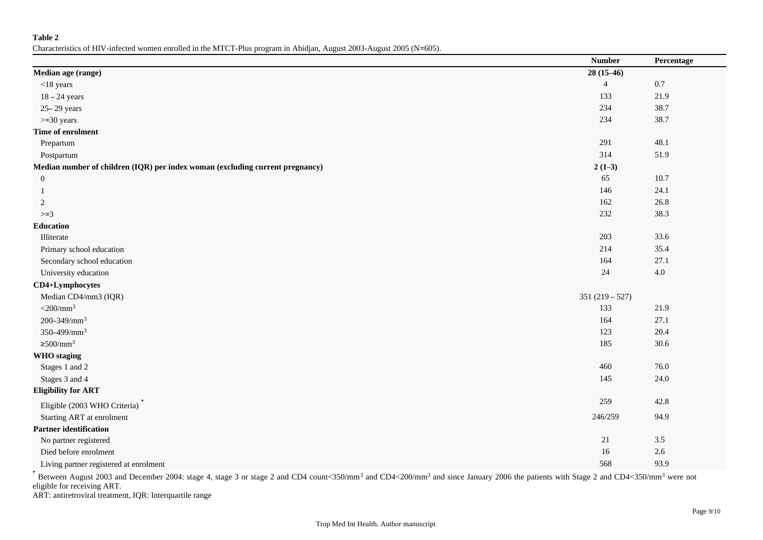**Table 2**

Characteristics of HIV-infected women enrolled in the MTCT-Plus program in Abidjan, August 2003-August 2005 (N=605).

|                                                                               | <b>Number</b>    | Percentage |
|-------------------------------------------------------------------------------|------------------|------------|
| Median age (range)                                                            | $28(15-46)$      |            |
| $<$ 18 years                                                                  | $\overline{4}$   | $0.7\,$    |
| $18 - 24$ years                                                               | 133              | 21.9       |
| 25-29 years                                                                   | 234              | 38.7       |
| $>=$ 30 years                                                                 | 234              | 38.7       |
| Time of enrolment                                                             |                  |            |
| Prepartum                                                                     | 291              | 48.1       |
| Postpartum                                                                    | 314              | 51.9       |
| Median number of children (IQR) per index woman (excluding current pregnancy) | $2(1-3)$         |            |
| $\boldsymbol{0}$                                                              | 65               | 10.7       |
| -1                                                                            | 146              | 24.1       |
| 2                                                                             | 162              | 26.8       |
| $>=3$                                                                         | 232              | 38.3       |
| <b>Education</b>                                                              |                  |            |
| Illiterate                                                                    | 203              | 33.6       |
| Primary school education                                                      | 214              | 35.4       |
| Secondary school education                                                    | 164              | 27.1       |
| University education                                                          | 24               | $4.0\,$    |
| CD4+Lymphocytes                                                               |                  |            |
| Median CD4/mm3 (IQR)                                                          | $351(219 - 527)$ |            |
| $<$ 200/mm <sup>3</sup>                                                       | 133              | 21.9       |
| 200-349/mm <sup>3</sup>                                                       | 164              | 27.1       |
| 350-499/mm <sup>3</sup>                                                       | 123              | 20.4       |
| $\geq$ 500/mm <sup>3</sup>                                                    | 185              | 30.6       |
| <b>WHO</b> staging                                                            |                  |            |
| Stages 1 and 2                                                                | 460              | 76.0       |
| Stages 3 and 4                                                                | 145              | 24.0       |
| <b>Eligibility for ART</b>                                                    |                  |            |
| Eligible (2003 WHO Criteria)                                                  | 259              | 42.8       |
| Starting ART at enrolment                                                     | 246/259          | 94.9       |
| <b>Partner identification</b>                                                 |                  |            |
| No partner registered                                                         | 21               | $3.5$      |
| Died before enrolment                                                         | $16\,$           | $2.6\,$    |
| Living partner registered at enrolment                                        | 568              | 93.9       |

 $*$  Between August 2003 and December 2004: stage 4, stage 3 or stage 2 and CD4 count<350/mm<sup>3</sup> and CD4<200/mm<sup>3</sup> and since January 2006 the patients with Stage 2 and CD4<350/mm<sup>3</sup> were not eligible for receiving ART.

ART: antiretroviral treatment, IQR: Interquartile range